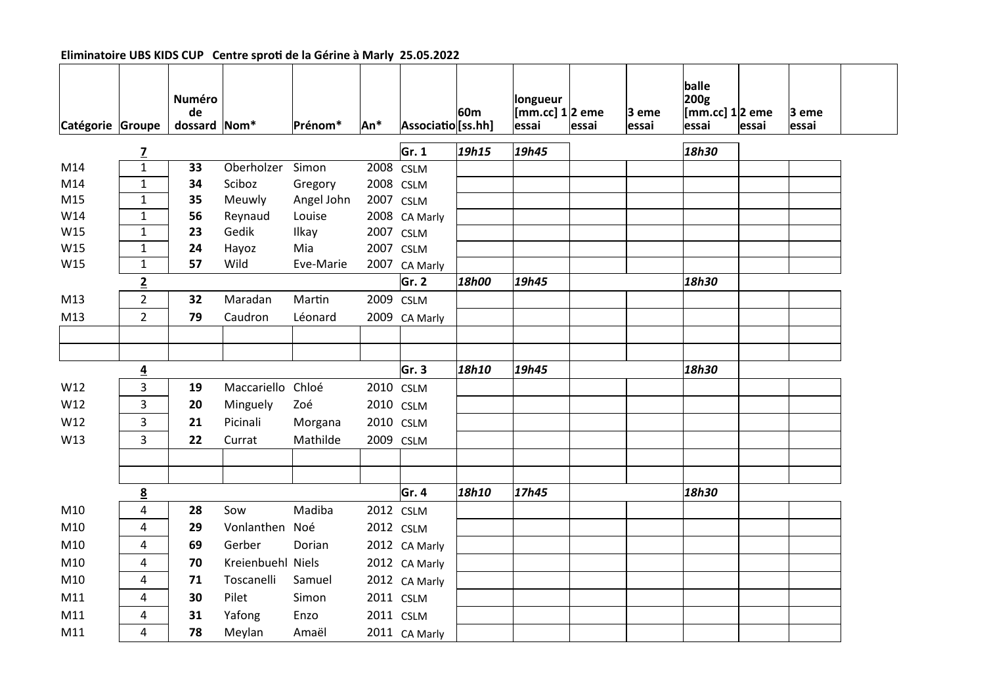| Catégorie Groupe |                 | <b>Numéro</b><br>de<br>dossard Nom* |                   | Prénom*    | An*  | Associatio [ss.hh] | 60m   | longueur<br>$\left[\text{mm}.\text{cc}\right]1\vert2$ eme<br>essai | essai | 3 eme<br> essai | balle<br>200g<br>[mm.cc] 1 2 eme<br> essai | <b>essai</b> | $ 3$ eme<br>essai |
|------------------|-----------------|-------------------------------------|-------------------|------------|------|--------------------|-------|--------------------------------------------------------------------|-------|-----------------|--------------------------------------------|--------------|-------------------|
|                  | $\overline{z}$  |                                     |                   |            |      | $\mathsf{Gr.}\,1$  | 19h15 | 19h45                                                              |       |                 | 18h30                                      |              |                   |
| M14              | $\mathbf{1}$    | 33                                  | Oberholzer Simon  |            | 2008 | <b>CSLM</b>        |       |                                                                    |       |                 |                                            |              |                   |
| M14              | $\mathbf{1}$    | 34                                  | Sciboz            | Gregory    | 2008 | <b>CSLM</b>        |       |                                                                    |       |                 |                                            |              |                   |
| M15              | $\mathbf{1}$    | 35                                  | Meuwly            | Angel John | 2007 | <b>CSLM</b>        |       |                                                                    |       |                 |                                            |              |                   |
| W14              | $\mathbf{1}$    | 56                                  | Reynaud           | Louise     | 2008 | CA Marly           |       |                                                                    |       |                 |                                            |              |                   |
| W15              | $\mathbf{1}$    | 23                                  | Gedik             | Ilkay      | 2007 | <b>CSLM</b>        |       |                                                                    |       |                 |                                            |              |                   |
| W15              | $\mathbf{1}$    | 24                                  | Hayoz             | Mia        | 2007 | <b>CSLM</b>        |       |                                                                    |       |                 |                                            |              |                   |
| W15              | $\mathbf{1}$    | 57                                  | Wild              | Eve-Marie  | 2007 | CA Marly           |       |                                                                    |       |                 |                                            |              |                   |
|                  | $\overline{2}$  |                                     |                   |            |      | Gr. 2              | 18h00 | 19h45                                                              |       |                 | 18h30                                      |              |                   |
| M13              | $\overline{2}$  | 32                                  | Maradan           | Martin     | 2009 | <b>CSLM</b>        |       |                                                                    |       |                 |                                            |              |                   |
| M13              | $\overline{2}$  | 79                                  | Caudron           | Léonard    | 2009 | CA Marly           |       |                                                                    |       |                 |                                            |              |                   |
|                  |                 |                                     |                   |            |      |                    |       |                                                                    |       |                 |                                            |              |                   |
|                  |                 |                                     |                   |            |      |                    |       |                                                                    |       |                 |                                            |              |                   |
|                  | $\overline{4}$  |                                     |                   |            |      | Gr. 3              | 18h10 | 19h45                                                              |       |                 | 18h30                                      |              |                   |
| W12              | 3               | 19                                  | Maccariello Chloé |            |      | 2010 CSLM          |       |                                                                    |       |                 |                                            |              |                   |
| W12              | 3               | 20                                  | Minguely          | Zoé        |      | 2010 CSLM          |       |                                                                    |       |                 |                                            |              |                   |
| W12              | 3               | 21                                  | Picinali          | Morgana    |      | 2010 CSLM          |       |                                                                    |       |                 |                                            |              |                   |
| W13              | 3               | 22                                  | Currat            | Mathilde   | 2009 | <b>CSLM</b>        |       |                                                                    |       |                 |                                            |              |                   |
|                  |                 |                                     |                   |            |      |                    |       |                                                                    |       |                 |                                            |              |                   |
|                  |                 |                                     |                   |            |      |                    |       |                                                                    |       |                 |                                            |              |                   |
|                  | $\underline{8}$ |                                     |                   |            |      | Gr. 4              | 18h10 | 17h45                                                              |       |                 | 18h30                                      |              |                   |
| M10              | 4               | 28                                  | Sow               | Madiba     |      | 2012 CSLM          |       |                                                                    |       |                 |                                            |              |                   |
| M10              | 4               | 29                                  | Vonlanthen Noé    |            |      | 2012 CSLM          |       |                                                                    |       |                 |                                            |              |                   |
| M10              | 4               | 69                                  | Gerber            | Dorian     |      | 2012 CA Marly      |       |                                                                    |       |                 |                                            |              |                   |
| M10              | 4               | 70                                  | Kreienbuehl Niels |            |      | 2012 CA Marly      |       |                                                                    |       |                 |                                            |              |                   |
| M10              | 4               | 71                                  | Toscanelli        | Samuel     |      | 2012 CA Marly      |       |                                                                    |       |                 |                                            |              |                   |
| M11              |                 |                                     | Pilet             | Simon      |      | 2011 CSLM          |       |                                                                    |       |                 |                                            |              |                   |
|                  | 4               | 30                                  |                   |            |      |                    |       |                                                                    |       |                 |                                            |              |                   |
| M11              | 4               | 31                                  | Yafong            | Enzo       |      | 2011 CSLM          |       |                                                                    |       |                 |                                            |              |                   |

## Eliminatoire UBS KIDS CUP Centre sproti de la Gérine à Marly 25.05.2022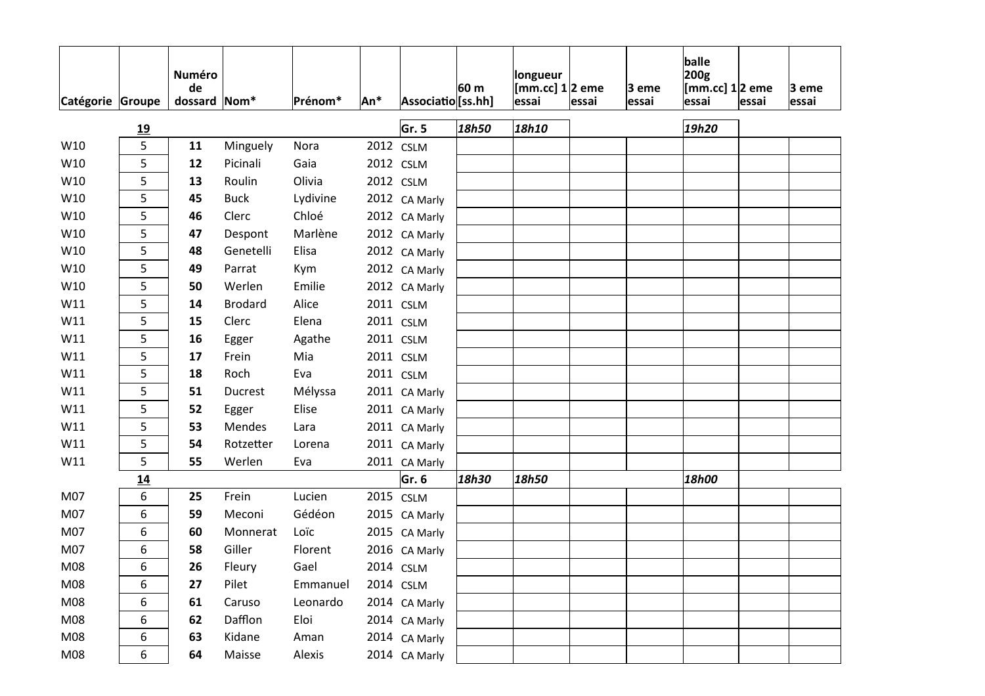|                  |           | <b>Numéro</b><br>de |                  |          |           |                    | 60 m  | longueur<br>[mm.cc] $1 2$ eme |       | 3 eme | balle<br>200g<br>[ $mm$ .cc] $1/2$ eme |       | $ 3$ eme |
|------------------|-----------|---------------------|------------------|----------|-----------|--------------------|-------|-------------------------------|-------|-------|----------------------------------------|-------|----------|
| Catégorie Groupe |           | dossard             | $\mathsf{Nom}^*$ | Prénom*  | An*       | Associatio [ss.hh] |       | essai                         | essai | essai | essai                                  | essai | essai    |
|                  | <u>19</u> |                     |                  |          |           | Gr. 5              | 18h50 | 18h10                         |       |       | 19h20                                  |       |          |
| W10              | 5         | 11                  | Minguely         | Nora     | 2012      | <b>CSLM</b>        |       |                               |       |       |                                        |       |          |
| W10              | 5         | 12                  | Picinali         | Gaia     |           | 2012 CSLM          |       |                               |       |       |                                        |       |          |
| W10              | 5         | 13                  | Roulin           | Olivia   |           | 2012 CSLM          |       |                               |       |       |                                        |       |          |
| W10              | 5         | 45                  | <b>Buck</b>      | Lydivine |           | 2012 CA Marly      |       |                               |       |       |                                        |       |          |
| W10              | 5         | 46                  | Clerc            | Chloé    |           | 2012 CA Marly      |       |                               |       |       |                                        |       |          |
| W10              | 5         | 47                  | Despont          | Marlène  |           | 2012 CA Marly      |       |                               |       |       |                                        |       |          |
| W10              | 5         | 48                  | Genetelli        | Elisa    |           | 2012 CA Marly      |       |                               |       |       |                                        |       |          |
| W10              | 5         | 49                  | Parrat           | Kym      |           | 2012 CA Marly      |       |                               |       |       |                                        |       |          |
| W10              | 5         | 50                  | Werlen           | Emilie   |           | 2012 CA Marly      |       |                               |       |       |                                        |       |          |
| W11              | 5         | 14                  | <b>Brodard</b>   | Alice    |           | 2011 CSLM          |       |                               |       |       |                                        |       |          |
| W11              | 5         | 15                  | Clerc            | Elena    |           | 2011 CSLM          |       |                               |       |       |                                        |       |          |
| W11              | 5         | 16                  | Egger            | Agathe   |           | 2011 CSLM          |       |                               |       |       |                                        |       |          |
| W11              | 5         | 17                  | Frein            | Mia      |           | 2011 CSLM          |       |                               |       |       |                                        |       |          |
| W11              | 5         | 18                  | Roch             | Eva      |           | 2011 CSLM          |       |                               |       |       |                                        |       |          |
| W11              | 5         | 51                  | Ducrest          | Mélyssa  |           | 2011 CA Marly      |       |                               |       |       |                                        |       |          |
| W11              | 5         | 52                  | Egger            | Elise    |           | 2011 CA Marly      |       |                               |       |       |                                        |       |          |
| W11              | 5         | 53                  | Mendes           | Lara     |           | 2011 CA Marly      |       |                               |       |       |                                        |       |          |
| W11              | 5         | 54                  | Rotzetter        | Lorena   |           | 2011 CA Marly      |       |                               |       |       |                                        |       |          |
| W11              | 5         | 55                  | Werlen           | Eva      |           | 2011 CA Marly      |       |                               |       |       |                                        |       |          |
|                  | 14        |                     |                  |          |           | Gr. 6              | 18h30 | 18h50                         |       |       | 18h00                                  |       |          |
| M07              | 6         | 25                  | Frein            | Lucien   | 2015 CSLM |                    |       |                               |       |       |                                        |       |          |
| M07              | 6         | 59                  | Meconi           | Gédéon   |           | 2015 CA Marly      |       |                               |       |       |                                        |       |          |
| M07              | 6         | 60                  | Monnerat         | Loïc     |           | 2015 CA Marly      |       |                               |       |       |                                        |       |          |
| M07              | 6         | 58                  | Giller           | Florent  |           | 2016 CA Marly      |       |                               |       |       |                                        |       |          |
| M08              | 6         | 26                  | Fleury           | Gael     |           | 2014 CSLM          |       |                               |       |       |                                        |       |          |
| M08              | 6         | 27                  | Pilet            | Emmanuel |           | 2014 CSLM          |       |                               |       |       |                                        |       |          |
| M08              | 6         | 61                  | Caruso           | Leonardo |           | 2014 CA Marly      |       |                               |       |       |                                        |       |          |
| M08              | 6         | 62                  | Dafflon          | Eloi     |           | 2014 CA Marly      |       |                               |       |       |                                        |       |          |
| M08              | 6         | 63                  | Kidane           | Aman     |           | 2014 CA Marly      |       |                               |       |       |                                        |       |          |
| M08              | 6         | 64                  | Maisse           | Alexis   |           | 2014 CA Marly      |       |                               |       |       |                                        |       |          |